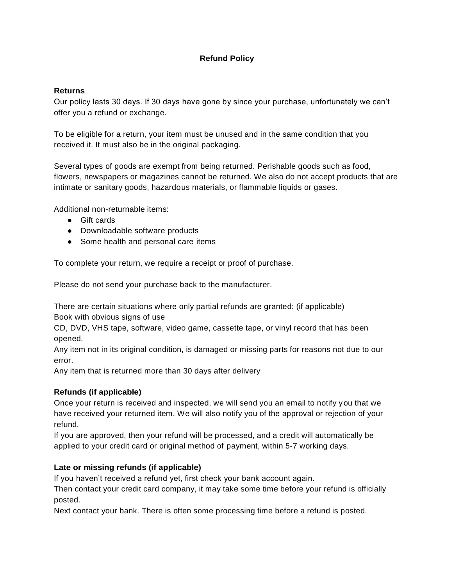# **Refund Policy**

#### **Returns**

Our policy lasts 30 days. If 30 days have gone by since your purchase, unfortunately we can't offer you a refund or exchange.

To be eligible for a return, your item must be unused and in the same condition that you received it. It must also be in the original packaging.

Several types of goods are exempt from being returned. Perishable goods such as food, flowers, newspapers or magazines cannot be returned. We also do not accept products that are intimate or sanitary goods, hazardous materials, or flammable liquids or gases.

Additional non-returnable items:

- Gift cards
- Downloadable software products
- Some health and personal care items

To complete your return, we require a receipt or proof of purchase.

Please do not send your purchase back to the manufacturer.

There are certain situations where only partial refunds are granted: (if applicable) Book with obvious signs of use

CD, DVD, VHS tape, software, video game, cassette tape, or vinyl record that has been opened.

Any item not in its original condition, is damaged or missing parts for reasons not due to our error.

Any item that is returned more than 30 days after delivery

#### **Refunds (if applicable)**

Once your return is received and inspected, we will send you an email to notify you that we have received your returned item. We will also notify you of the approval or rejection of your refund.

If you are approved, then your refund will be processed, and a credit will automatically be applied to your credit card or original method of payment, within 5-7 working days.

### **Late or missing refunds (if applicable)**

If you haven't received a refund yet, first check your bank account again.

Then contact your credit card company, it may take some time before your refund is officially posted.

Next contact your bank. There is often some processing time before a refund is posted.